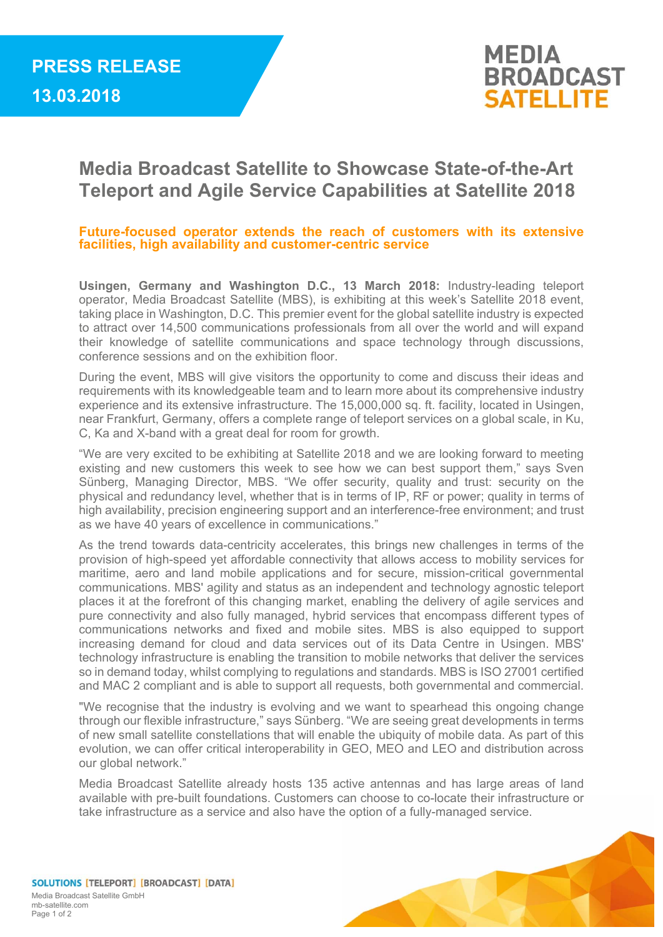

## **Media Broadcast Satellite to Showcase State-of-the-Art Teleport and Agile Service Capabilities at Satellite 2018**

## **Future-focused operator extends the reach of customers with its extensive facilities, high availability and customer-centric service**

**Usingen, Germany and Washington D.C., 13 March 2018:** Industry-leading teleport operator, Media Broadcast Satellite (MBS), is exhibiting at this week's Satellite 2018 event, taking place in Washington, D.C. This premier event for the global satellite industry is expected to attract over 14,500 communications professionals from all over the world and will expand their knowledge of satellite communications and space technology through discussions, conference sessions and on the exhibition floor.

During the event, MBS will give visitors the opportunity to come and discuss their ideas and requirements with its knowledgeable team and to learn more about its comprehensive industry experience and its extensive infrastructure. The 15,000,000 sq. ft. facility, located in Usingen, near Frankfurt, Germany, offers a complete range of teleport services on a global scale, in Ku, C, Ka and X-band with a great deal for room for growth.

"We are very excited to be exhibiting at Satellite 2018 and we are looking forward to meeting existing and new customers this week to see how we can best support them," says Sven Sünberg, Managing Director, MBS. "We offer security, quality and trust: security on the physical and redundancy level, whether that is in terms of IP, RF or power; quality in terms of high availability, precision engineering support and an interference-free environment; and trust as we have 40 years of excellence in communications."

As the trend towards data-centricity accelerates, this brings new challenges in terms of the provision of high-speed yet affordable connectivity that allows access to mobility services for maritime, aero and land mobile applications and for secure, mission-critical governmental communications. MBS' agility and status as an independent and technology agnostic teleport places it at the forefront of this changing market, enabling the delivery of agile services and pure connectivity and also fully managed, hybrid services that encompass different types of communications networks and fixed and mobile sites. MBS is also equipped to support increasing demand for cloud and data services out of its Data Centre in Usingen. MBS' technology infrastructure is enabling the transition to mobile networks that deliver the services so in demand today, whilst complying to regulations and standards. MBS is ISO 27001 certified and MAC 2 compliant and is able to support all requests, both governmental and commercial.

"We recognise that the industry is evolving and we want to spearhead this ongoing change through our flexible infrastructure," says Sünberg. "We are seeing great developments in terms of new small satellite constellations that will enable the ubiquity of mobile data. As part of this evolution, we can offer critical interoperability in GEO, MEO and LEO and distribution across our global network."

Media Broadcast Satellite already hosts 135 active antennas and has large areas of land available with pre-built foundations. Customers can choose to co-locate their infrastructure or take infrastructure as a service and also have the option of a fully-managed service.